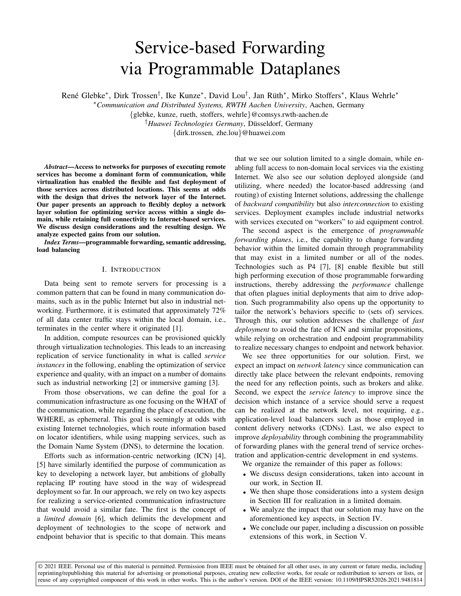# Service-based Forwarding via Programmable Dataplanes

René Glebke\*, Dirk Trossen<sup>†</sup>, Ike Kunze\*, David Lou<sup>†</sup>, Jan Rüth\*, Mirko Stoffers\*, Klaus Wehrle\*

<sup>∗</sup>*Communication and Distributed Systems, RWTH Aachen University*, Aachen, Germany

{glebke, kunze, rueth, stoffers, wehrle}@comsys.rwth-aachen.de

<sup>†</sup>Huawei Technologies Germany, Düsseldorf, Germany

{dirk.trossen, zhe.lou}@huawei.com

*Abstract*—Access to networks for purposes of executing remote services has become a dominant form of communication, while virtualization has enabled the flexible and fast deployment of those services across distributed locations. This seems at odds with the design that drives the network layer of the Internet. Our paper presents an approach to flexibly deploy a network layer solution for optimizing service access within a single domain, while retaining full connectivity to Internet-based services. We discuss design considerations and the resulting design. We analyze expected gains from our solution.

*Index Terms*—programmable forwarding, semantic addressing, load balancing

## I. INTRODUCTION

Data being sent to remote servers for processing is a common pattern that can be found in many communication domains, such as in the public Internet but also in industrial networking. Furthermore, it is estimated that approximately 72% of all data center traffic stays within the local domain, i.e., terminates in the center where it originated [1].

In addition, compute resources can be provisioned quickly through virtualization technologies. This leads to an increasing replication of service functionality in what is called *service instances* in the following, enabling the optimization of service experience and quality, with an impact on a number of domains such as industrial networking [2] or immersive gaming [3].

From those observations, we can define the goal for a communication infrastructure as one focusing on the WHAT of the communication, while regarding the place of execution, the WHERE, as ephemeral. This goal is seemingly at odds with existing Internet technologies, which route information based on locator identifiers, while using mapping services, such as the Domain Name System (DNS), to determine the location.

Efforts such as information-centric networking (ICN) [4], [5] have similarly identified the purpose of communication as key to developing a network layer, but ambitions of globally replacing IP routing have stood in the way of widespread deployment so far. In our approach, we rely on two key aspects for realizing a service-oriented communication infrastructure that would avoid a similar fate. The first is the concept of a *limited domain* [6], which delimits the development and deployment of technologies to the scope of network and endpoint behavior that is specific to that domain. This means that we see our solution limited to a single domain, while enabling full access to non-domain local services via the existing Internet. We also see our solution deployed alongside (and utilizing, where needed) the locator-based addressing (and routing) of existing Internet solutions, addressing the challenge of *backward compatibility* but also *interconnection* to existing services. Deployment examples include industrial networks with services executed on "workers" to aid equipment control.

The second aspect is the emergence of *programmable forwarding planes*, i.e., the capability to change forwarding behavior within the limited domain through programmability that may exist in a limited number or all of the nodes. Technologies such as P4 [7], [8] enable flexible but still high performing execution of those programmable forwarding instructions, thereby addressing the *performance* challenge that often plagues initial deployments that aim to drive adoption. Such programmability also opens up the opportunity to tailor the network's behaviors specific to (sets of) services. Through this, our solution addresses the challenge of *fast deployment* to avoid the fate of ICN and similar propositions, while relying on orchestration and endpoint programmability to realize necessary changes to endpoint and network behavior.

We see three opportunities for our solution. First, we expect an impact on *network latency* since communication can directly take place between the relevant endpoints, removing the need for any reflection points, such as brokers and alike. Second, we expect the *service latency* to improve since the decision which instance of a service should serve a request can be realized at the network level, not requiring, e.g., application-level load balancers such as those employed in content delivery networks (CDNs). Last, we also expect to improve *deployability* through combining the programmability of forwarding planes with the general trend of service orchestration and application-centric development in end systems.

We organize the remainder of this paper as follows:

- We discuss design considerations, taken into account in our work, in Section II.
- We then shape those considerations into a system design in Section III for realization in a limited domain.
- We analyze the impact that our solution may have on the aforementioned key aspects, in Section IV.
- We conclude our paper, including a discussion on possible extensions of this work, in Section V.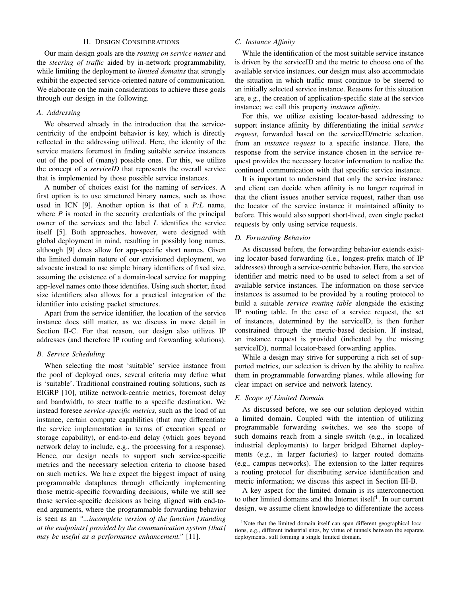# II. DESIGN CONSIDERATIONS

Our main design goals are the *routing on service names* and the *steering of traffic* aided by in-network programmability, while limiting the deployment to *limited domains* that strongly exhibit the expected service-oriented nature of communication. We elaborate on the main considerations to achieve these goals through our design in the following.

## *A. Addressing*

We observed already in the introduction that the servicecentricity of the endpoint behavior is key, which is directly reflected in the addressing utilized. Here, the identity of the service matters foremost in finding suitable service instances out of the pool of (many) possible ones. For this, we utilize the concept of a *serviceID* that represents the overall service that is implemented by those possible service instances.

A number of choices exist for the naming of services. A first option is to use structured binary names, such as those used in ICN [9]. Another option is that of a *P:L* name, where *P* is rooted in the security credentials of the principal owner of the services and the label *L* identifies the service itself [5]. Both approaches, however, were designed with global deployment in mind, resulting in possibly long names, although [9] does allow for app-specific short names. Given the limited domain nature of our envisioned deployment, we advocate instead to use simple binary identifiers of fixed size, assuming the existence of a domain-local service for mapping app-level names onto those identifies. Using such shorter, fixed size identifiers also allows for a practical integration of the identifier into existing packet structures.

Apart from the service identifier, the location of the service instance does still matter, as we discuss in more detail in Section II-C. For that reason, our design also utilizes IP addresses (and therefore IP routing and forwarding solutions).

#### *B. Service Scheduling*

When selecting the most 'suitable' service instance from the pool of deployed ones, several criteria may define what is 'suitable'. Traditional constrained routing solutions, such as EIGRP [10], utilize network-centric metrics, foremost delay and bandwidth, to steer traffic to a specific destination. We instead foresee *service-specific metrics*, such as the load of an instance, certain compute capabilities (that may differentiate the service implementation in terms of execution speed or storage capability), or end-to-end delay (which goes beyond network delay to include, e.g., the processing for a response). Hence, our design needs to support such service-specific metrics and the necessary selection criteria to choose based on such metrics. We here expect the biggest impact of using programmable dataplanes through efficiently implementing those metric-specific forwarding decisions, while we still see those service-specific decisions as being aligned with end-toend arguments, where the programmable forwarding behavior is seen as an *"...incomplete version of the function [standing at the endpoints] provided by the communication system [that] may be useful as a performance enhancement."* [11].

# *C. Instance Affinity*

While the identification of the most suitable service instance is driven by the serviceID and the metric to choose one of the available service instances, our design must also accommodate the situation in which traffic must continue to be steered to an initially selected service instance. Reasons for this situation are, e.g., the creation of application-specific state at the service instance; we call this property *instance affinity*.

For this, we utilize existing locator-based addressing to support instance affinity by differentiating the initial *service request*, forwarded based on the serviceID/metric selection, from an *instance request* to a specific instance. Here, the response from the service instance chosen in the service request provides the necessary locator information to realize the continued communication with that specific service instance.

It is important to understand that only the service instance and client can decide when affinity is no longer required in that the client issues another service request, rather than use the locator of the service instance it maintained affinity to before. This would also support short-lived, even single packet requests by only using service requests.

## *D. Forwarding Behavior*

As discussed before, the forwarding behavior extends existing locator-based forwarding (i.e., longest-prefix match of IP addresses) through a service-centric behavior. Here, the service identifier and metric need to be used to select from a set of available service instances. The information on those service instances is assumed to be provided by a routing protocol to build a suitable *service routing table* alongside the existing IP routing table. In the case of a service request, the set of instances, determined by the serviceID, is then further constrained through the metric-based decision. If instead, an instance request is provided (indicated by the missing serviceID), normal locator-based forwarding applies.

While a design may strive for supporting a rich set of supported metrics, our selection is driven by the ability to realize them in programmable forwarding planes, while allowing for clear impact on service and network latency.

#### *E. Scope of Limited Domain*

As discussed before, we see our solution deployed within a limited domain. Coupled with the intention of utilizing programmable forwarding switches, we see the scope of such domains reach from a single switch (e.g., in localized industrial deployments) to larger bridged Ethernet deployments (e.g., in larger factories) to larger routed domains (e.g., campus networks). The extension to the latter requires a routing protocol for distributing service identification and metric information; we discuss this aspect in Section III-B.

A key aspect for the limited domain is its interconnection to other limited domains and the Internet itself<sup>1</sup>. In our current design, we assume client knowledge to differentiate the access

<sup>&</sup>lt;sup>1</sup>Note that the limited domain itself can span different geographical locations, e.g., different industrial sites, by virtue of tunnels between the separate deployments, still forming a single limited domain.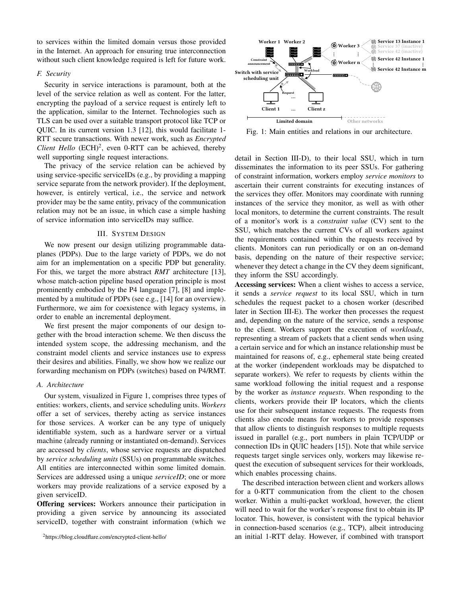to services within the limited domain versus those provided in the Internet. An approach for ensuring true interconnection without such client knowledge required is left for future work.

# *F. Security*

Security in service interactions is paramount, both at the level of the service relation as well as content. For the latter, encrypting the payload of a service request is entirely left to the application, similar to the Internet. Technologies such as TLS can be used over a suitable transport protocol like TCP or QUIC. In its current version 1.3 [12], this would facilitate 1- RTT secure transactions. With newer work, such as *Encrypted Client Hello*  $(ECH)^2$ , even 0-RTT can be achieved, thereby well supporting single request interactions.

The privacy of the service relation can be achieved by using service-specific serviceIDs (e.g., by providing a mapping service separate from the network provider). If the deployment, however, is entirely vertical, i.e., the service and network provider may be the same entity, privacy of the communication relation may not be an issue, in which case a simple hashing of service information into serviceIDs may suffice.

## III. SYSTEM DESIGN

We now present our design utilizing programmable dataplanes (PDPs). Due to the large variety of PDPs, we do not aim for an implementation on a specific PDP but generality. For this, we target the more abstract *RMT* architecture [13], whose match-action pipeline based operation principle is most prominently embodied by the P4 language [7], [8] and implemented by a multitude of PDPs (see e.g., [14] for an overview). Furthermore, we aim for coexistence with legacy systems, in order to enable an incremental deployment.

We first present the major components of our design together with the broad interaction scheme. We then discuss the intended system scope, the addressing mechanism, and the constraint model clients and service instances use to express their desires and abilities. Finally, we show how we realize our forwarding mechanism on PDPs (switches) based on P4/RMT.

## *A. Architecture*

Our system, visualized in Figure 1, comprises three types of entities: workers, clients, and service scheduling units. *Workers* offer a set of services, thereby acting as service instances for those services. A worker can be any type of uniquely identifiable system, such as a hardware server or a virtual machine (already running or instantiated on-demand). Services are accessed by *clients*, whose service requests are dispatched by *service scheduling units* (SSUs) on programmable switches. All entities are interconnected within some limited domain. Services are addressed using a unique *serviceID*; one or more workers may provide realizations of a service exposed by a given serviceID.

Offering services: Workers announce their participation in providing a given service by announcing its associated serviceID, together with constraint information (which we

<sup>2</sup>https://blog.cloudflare.com/encrypted-client-hello/



Fig. 1: Main entities and relations in our architecture.

detail in Section III-D), to their local SSU, which in turn disseminates the information to its peer SSUs. For gathering of constraint information, workers employ *service monitors* to ascertain their current constraints for executing instances of the services they offer. Monitors may coordinate with running instances of the service they monitor, as well as with other local monitors, to determine the current constraints. The result of a monitor's work is a *constraint value* (CV) sent to the SSU, which matches the current CVs of all workers against the requirements contained within the requests received by clients. Monitors can run periodically or on an on-demand basis, depending on the nature of their respective service; whenever they detect a change in the CV they deem significant, they inform the SSU accordingly.

Accessing services: When a client wishes to access a service, it sends a *service request* to its local SSU, which in turn schedules the request packet to a chosen worker (described later in Section III-E). The worker then processes the request and, depending on the nature of the service, sends a response to the client. Workers support the execution of *workloads*, representing a stream of packets that a client sends when using a certain service and for which an instance relationship must be maintained for reasons of, e.g., ephemeral state being created at the worker (independent workloads may be dispatched to separate workers). We refer to requests by clients within the same workload following the initial request and a response by the worker as *instance requests*. When responding to the clients, workers provide their IP locators, which the clients use for their subsequent instance requests. The requests from clients also encode means for workers to provide responses that allow clients to distinguish responses to multiple requests issued in parallel (e.g., port numbers in plain TCP/UDP or connection IDs in QUIC headers [15]). Note that while service requests target single services only, workers may likewise request the execution of subsequent services for their workloads, which enables processing chains.

The described interaction between client and workers allows for a 0-RTT communication from the client to the chosen worker. Within a multi-packet workload, however, the client will need to wait for the worker's response first to obtain its IP locator. This, however, is consistent with the typical behavior in connection-based scenarios (e.g., TCP), albeit introducing an initial 1-RTT delay. However, if combined with transport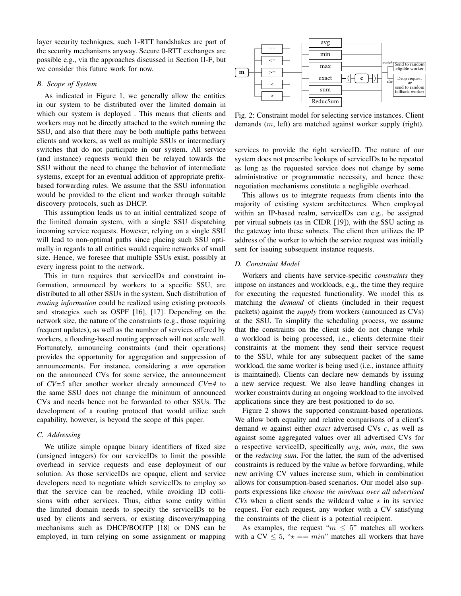layer security techniques, such 1-RTT handshakes are part of the security mechanisms anyway. Secure 0-RTT exchanges are possible e.g., via the approaches discussed in Section II-F, but we consider this future work for now.

## *B. Scope of System*

As indicated in Figure 1, we generally allow the entities in our system to be distributed over the limited domain in which our system is deployed . This means that clients and workers may not be directly attached to the switch running the SSU, and also that there may be both multiple paths between clients and workers, as well as multiple SSUs or intermediary switches that do not participate in our system. All service (and instance) requests would then be relayed towards the SSU without the need to change the behavior of intermediate systems, except for an eventual addition of appropriate prefixbased forwarding rules. We assume that the SSU information would be provided to the client and worker through suitable discovery protocols, such as DHCP.

This assumption leads us to an initial centralized scope of the limited domain system, with a single SSU dispatching incoming service requests. However, relying on a single SSU will lead to non-optimal paths since placing such SSU optimally in regards to all entities would require networks of small size. Hence, we foresee that multiple SSUs exist, possibly at every ingress point to the network.

This in turn requires that serviceIDs and constraint information, announced by workers to a specific SSU, are distributed to all other SSUs in the system. Such distribution of *routing information* could be realized using existing protocols and strategies such as OSPF [16], [17]. Depending on the network size, the nature of the constraints (e.g., those requiring frequent updates), as well as the number of services offered by workers, a flooding-based routing approach will not scale well. Fortunately, announcing constraints (and their operations) provides the opportunity for aggregation and suppression of announcements. For instance, considering a *min* operation on the announced CVs for some service, the announcement of *CV=5* after another worker already announced *CV=4* to the same SSU does not change the minimum of announced CVs and needs hence not be forwarded to other SSUs. The development of a routing protocol that would utilize such capability, however, is beyond the scope of this paper.

# *C. Addressing*

We utilize simple opaque binary identifiers of fixed size (unsigned integers) for our serviceIDs to limit the possible overhead in service requests and ease deployment of our solution. As those serviceIDs are opaque, client and service developers need to negotiate which serviceIDs to employ so that the service can be reached, while avoiding ID collisions with other services. Thus, either some entity within the limited domain needs to specify the serviceIDs to be used by clients and servers, or existing discovery/mapping mechanisms such as DHCP/BOOTP [18] or DNS can be employed, in turn relying on some assignment or mapping



Fig. 2: Constraint model for selecting service instances. Client demands (m, left) are matched against worker supply (right).

services to provide the right serviceID. The nature of our system does not prescribe lookups of serviceIDs to be repeated as long as the requested service does not change by some administrative or programmatic necessity, and hence these negotiation mechanisms constitute a negligible overhead.

This allows us to integrate requests from clients into the majority of existing system architectures. When employed within an IP-based realm, serviceIDs can e.g., be assigned per virtual subnets (as in CIDR [19]), with the SSU acting as the gateway into these subnets. The client then utilizes the IP address of the worker to which the service request was initially sent for issuing subsequent instance requests.

## *D. Constraint Model*

Workers and clients have service-specific *constraints* they impose on instances and workloads, e.g., the time they require for executing the requested functionality. We model this as matching the *demand* of clients (included in their request packets) against the *supply* from workers (announced as CVs) at the SSU. To simplify the scheduling process, we assume that the constraints on the client side do not change while a workload is being processed, i.e., clients determine their constraints at the moment they send their service request to the SSU, while for any subsequent packet of the same workload, the same worker is being used (i.e., instance affinity is maintained). Clients can declare new demands by issuing a new service request. We also leave handling changes in worker constraints during an ongoing workload to the involved applications since they are best positioned to do so.

Figure 2 shows the supported constraint-based operations. We allow both equality and relative comparisons of a client's demand *m* against either *exact* advertised CVs *c*, as well as against some aggregated values over all advertised CVs for a respective serviceID, specifically *avg*, *min*, *max*, the *sum* or the *reducing sum*. For the latter, the sum of the advertised constraints is reduced by the value *m* before forwarding, while new arriving CV values increase sum, which in combination allows for consumption-based scenarios. Our model also supports expressions like *choose the min/max over all advertised CVs* when a client sends the wildcard value  $\star$  in its service request. For each request, any worker with a CV satisfying the constraints of the client is a potential recipient.

As examples, the request " $m \leq 5$ " matches all workers with a CV  $\leq 5$ , " $\star == min$ " matches all workers that have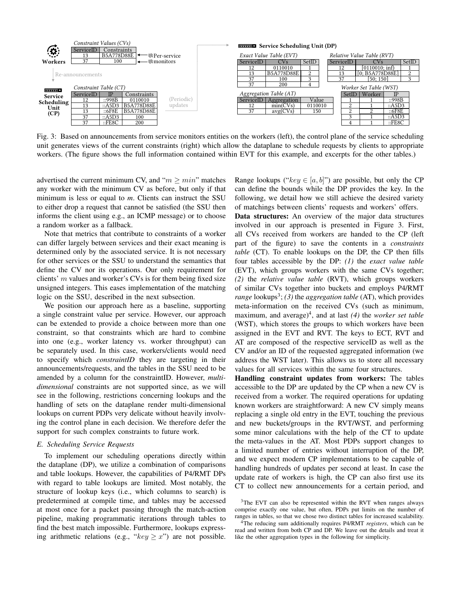

Fig. 3: Based on announcements from service monitors entities on the workers (left), the control plane of the service scheduling unit generates views of the current constraints (right) which allow the dataplane to schedule requests by clients to appropriate workers. (The figure shows the full information contained within EVT for this example, and excerpts for the other tables.)

advertised the current minimum CV, and " $m \geq min$ " matches any worker with the minimum CV as before, but only if that minimum is less or equal to *m*. Clients can instruct the SSU to either drop a request that cannot be satisfied (the SSU then informs the client using e.g., an ICMP message) or to choose a random worker as a fallback.

Note that metrics that contribute to constraints of a worker can differ largely between services and their exact meaning is determined only by the associated service. It is not necessary for other services or the SSU to understand the semantics that define the CV nor its operations. Our only requirement for clients'  $m$  values and worker's CVs is for them being fixed size unsigned integers. This eases implementation of the matching logic on the SSU, described in the next subsection.

We position our approach here as a baseline, supporting a single constraint value per service. However, our approach can be extended to provide a choice between more than one constraint, so that constraints which are hard to combine into one (e.g., worker latency vs. worker throughput) can be separately used. In this case, workers/clients would need to specify which *constraintID* they are targeting in their announcements/requests, and the tables in the SSU need to be amended by a column for the constraintID. However, *multidimensional* constraints are not supported since, as we will see in the following, restrictions concerning lookups and the handling of sets on the dataplane render multi-dimensional lookups on current PDPs very delicate without heavily involving the control plane in each decision. We therefore defer the support for such complex constraints to future work.

## *E. Scheduling Service Requests*

To implement our scheduling operations directly within the dataplane (DP), we utilize a combination of comparisons and table lookups. However, the capabilities of P4/RMT DPs with regard to table lookups are limited. Most notably, the structure of lookup keys (i.e., which columns to search) is predetermined at compile time, and tables may be accessed at most once for a packet passing through the match-action pipeline, making programmatic iterations through tables to find the best match impossible. Furthermore, lookups expressing arithmetic relations (e.g., " $key \geq x$ ") are not possible. Range lookups (" $key \in [a, b]$ ") are possible, but only the CP can define the bounds while the DP provides the key. In the following, we detail how we still achieve the desired variety of matchings between clients' requests and workers' offers.

Data structures: An overview of the major data structures involved in our approach is presented in Figure 3. First, all CVs received from workers are handed to the CP (left part of the figure) to save the contents in a *constraints table* (CT). To enable lookups on the DP, the CP then fills four tables accessible by the DP: *(1)* the *exact value table* (EVT), which groups workers with the same CVs together; *(2)* the *relative value table* (RVT), which groups workers of similar CVs together into buckets and employs P4/RMT *range* lookups<sup>3</sup>; (3) the *aggregation table* (AT), which provides meta-information on the received CVs (such as minimum, maximum, and average)<sup>4</sup>, and at last (4) the *worker set table* (WST), which stores the groups to which workers have been assigned in the EVT and RVT. The keys to ECT, RVT and AT are composed of the respective serviceID as well as the CV and/or an ID of the requested aggregated information (we address the WST later). This allows us to store all necessary values for all services within the same four structures.

Handling constraint updates from workers: The tables accessible to the DP are updated by the CP when a new CV is received from a worker. The required operations for updating known workers are straightforward: A new CV simply means replacing a single old entry in the EVT, touching the previous and new buckets/groups in the RVT/WST, and performing some minor calculations with the help of the CT to update the meta-values in the AT. Most PDPs support changes to a limited number of entries without interruption of the DP, and we expect modern CP implementations to be capable of handling hundreds of updates per second at least. In case the update rate of workers is high, the CP can also first use its CT to collect new announcements for a certain period, and

<sup>&</sup>lt;sup>3</sup>The EVT can also be represented within the RVT when ranges always comprise exactly one value, but often, PDPs put limits on the number of ranges in tables, so that we chose two distinct tables for increased scalability.

<sup>4</sup>The reducing sum additionally requires P4/RMT *registers*, which can be read and written from both CP and DP. We leave out the details and treat it like the other aggregation types in the following for simplicity.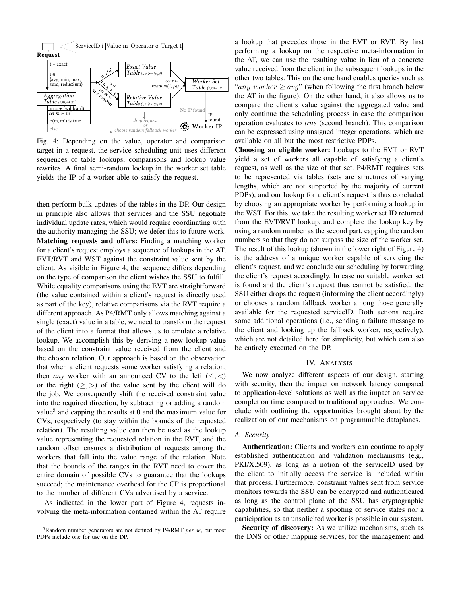

Fig. 4: Depending on the value, operator and comparison target in a request, the service scheduling unit uses different sequences of table lookups, comparisons and lookup value rewrites. A final semi-random lookup in the worker set table yields the IP of a worker able to satisfy the request.

then perform bulk updates of the tables in the DP. Our design in principle also allows that services and the SSU negotiate individual update rates, which would require coordinating with the authority managing the SSU; we defer this to future work. Matching requests and offers: Finding a matching worker for a client's request employs a sequence of lookups in the AT, EVT/RVT and WST against the constraint value sent by the client. As visible in Figure 4, the sequence differs depending on the type of comparison the client wishes the SSU to fulfill. While equality comparisons using the EVT are straightforward (the value contained within a client's request is directly used as part of the key), relative comparisons via the RVT require a different approach. As P4/RMT only allows matching against a single (exact) value in a table, we need to transform the request of the client into a format that allows us to emulate a relative lookup. We accomplish this by deriving a new lookup value based on the constraint value received from the client and the chosen relation. Our approach is based on the observation that when a client requests some worker satisfying a relation, then *any* worker with an announced CV to the left  $(\leq, <)$ or the right  $(\ge, >)$  of the value sent by the client will do the job. We consequently shift the received constraint value into the required direction, by subtracting or adding a random value<sup>5</sup> and capping the results at 0 and the maximum value for CVs, respectively (to stay within the bounds of the requested relation). The resulting value can then be used as the lookup value representing the requested relation in the RVT, and the random offset ensures a distribution of requests among the workers that fall into the value range of the relation. Note that the bounds of the ranges in the RVT need to cover the entire domain of possible CVs to guarantee that the lookups succeed; the maintenance overhead for the CP is proportional to the number of different CVs advertised by a service.

As indicated in the lower part of Figure 4, requests involving the meta-information contained within the AT require a lookup that precedes those in the EVT or RVT. By first performing a lookup on the respective meta-information in the AT, we can use the resulting value in lieu of a concrete value received from the client in the subsequent lookups in the other two tables. This on the one hand enables queries such as "any worker  $\geq \arg$ " (when following the first branch below the AT in the figure). On the other hand, it also allows us to compare the client's value against the aggregated value and only continue the scheduling process in case the comparison operation evaluates to *true* (second branch). This comparison can be expressed using unsigned integer operations, which are available on all but the most restrictive PDPs.

Choosing an eligible worker: Lookups to the EVT or RVT yield a set of workers all capable of satisfying a client's request, as well as the size of that set. P4/RMT requires sets to be represented via tables (sets are structures of varying lengths, which are not supported by the majority of current PDPs), and our lookup for a client's request is thus concluded by choosing an appropriate worker by performing a lookup in the WST. For this, we take the resulting worker set ID returned from the EVT/RVT lookup, and complete the lookup key by using a random number as the second part, capping the random numbers so that they do not surpass the size of the worker set. The result of this lookup (shown in the lower right of Figure 4) is the address of a unique worker capable of servicing the client's request, and we conclude our scheduling by forwarding the client's request accordingly. In case no suitable worker set is found and the client's request thus cannot be satisfied, the SSU either drops the request (informing the client accordingly) or chooses a random fallback worker among those generally available for the requested serviceID. Both actions require some additional operations (i.e., sending a failure message to the client and looking up the fallback worker, respectively), which are not detailed here for simplicity, but which can also be entirely executed on the DP.

## IV. ANALYSIS

We now analyze different aspects of our design, starting with security, then the impact on network latency compared to application-level solutions as well as the impact on service completion time compared to traditional approaches. We conclude with outlining the opportunities brought about by the realization of our mechanisms on programmable dataplanes.

## *A. Security*

Authentication: Clients and workers can continue to apply established authentication and validation mechanisms (e.g., PKI/X.509), as long as a notion of the serviceID used by the client to initially access the service is included within that process. Furthermore, constraint values sent from service monitors towards the SSU can be encrypted and authenticated as long as the control plane of the SSU has cryptographic capabilities, so that neither a spoofing of service states nor a participation as an unsolicited worker is possible in our system.

Security of discovery: As we utilize mechanisms, such as the DNS or other mapping services, for the management and

<sup>5</sup>Random number generators are not defined by P4/RMT *per se*, but most PDPs include one for use on the DP.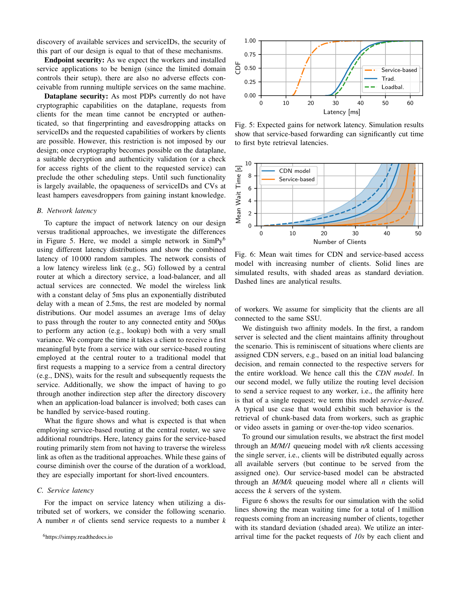discovery of available services and serviceIDs, the security of this part of our design is equal to that of these mechanisms.

Endpoint security: As we expect the workers and installed service applications to be benign (since the limited domain controls their setup), there are also no adverse effects conceivable from running multiple services on the same machine.

Dataplane security: As most PDPs currently do not have cryptographic capabilities on the dataplane, requests from clients for the mean time cannot be encrypted or authenticated, so that fingerprinting and eavesdropping attacks on serviceIDs and the requested capabilities of workers by clients are possible. However, this restriction is not imposed by our design; once cryptography becomes possible on the dataplane, a suitable decryption and authenticity validation (or a check for access rights of the client to the requested service) can preclude the other scheduling steps. Until such functionality is largely available, the opaqueness of serviceIDs and CVs at least hampers eavesdroppers from gaining instant knowledge.

## *B. Network latency*

To capture the impact of network latency on our design versus traditional approaches, we investigate the differences in Figure 5. Here, we model a simple network in  $SimPy<sup>6</sup>$ using different latency distributions and show the combined latency of 10 000 random samples. The network consists of a low latency wireless link (e.g., 5G) followed by a central router at which a directory service, a load-balancer, and all actual services are connected. We model the wireless link with a constant delay of 5ms plus an exponentially distributed delay with a mean of 2.5ms, the rest are modeled by normal distributions. Our model assumes an average 1ms of delay to pass through the router to any connected entity and 500µs to perform any action (e.g., lookup) both with a very small variance. We compare the time it takes a client to receive a first meaningful byte from a service with our service-based routing employed at the central router to a traditional model that first requests a mapping to a service from a central directory (e.g., DNS), waits for the result and subsequently requests the service. Additionally, we show the impact of having to go through another indirection step after the directory discovery when an application-load balancer is involved; both cases can be handled by service-based routing.

What the figure shows and what is expected is that when employing service-based routing at the central router, we save additional roundtrips. Here, latency gains for the service-based routing primarily stem from not having to traverse the wireless link as often as the traditional approaches. While these gains of course diminish over the course of the duration of a workload, they are especially important for short-lived encounters.

## *C. Service latency*

For the impact on service latency when utilizing a distributed set of workers, we consider the following scenario. A number *n* of clients send service requests to a number *k*





Fig. 5: Expected gains for network latency. Simulation results show that service-based forwarding can significantly cut time to first byte retrieval latencies.



Fig. 6: Mean wait times for CDN and service-based access model with increasing number of clients. Solid lines are simulated results, with shaded areas as standard deviation. Dashed lines are analytical results.

of workers. We assume for simplicity that the clients are all connected to the same SSU.

We distinguish two affinity models. In the first, a random server is selected and the client maintains affinity throughout the scenario. This is reminiscent of situations where clients are assigned CDN servers, e.g., based on an initial load balancing decision, and remain connected to the respective servers for the entire workload. We hence call this the *CDN model*. In our second model, we fully utilize the routing level decision to send a service request to any worker, i.e., the affinity here is that of a single request; we term this model *service-based*. A typical use case that would exhibit such behavior is the retrieval of chunk-based data from workers, such as graphic or video assets in gaming or over-the-top video scenarios.

To ground our simulation results, we abstract the first model through an *M/M/1* queueing model with *n/k* clients accessing the single server, i.e., clients will be distributed equally across all available servers (but continue to be served from the assigned one). Our service-based model can be abstracted through an *M/M/k* queueing model where all *n* clients will access the *k* servers of the system.

Figure 6 shows the results for our simulation with the solid lines showing the mean waiting time for a total of 1 million requests coming from an increasing number of clients, together with its standard deviation (shaded area). We utilize an interarrival time for the packet requests of *10s* by each client and